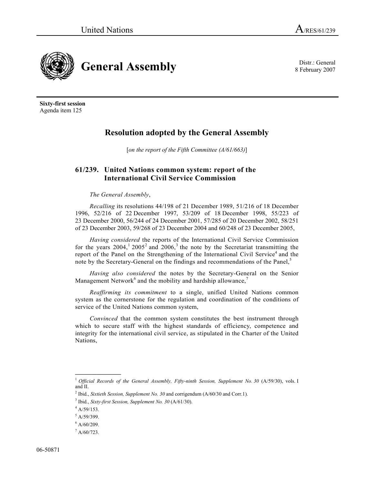8 February 2007



**Sixty-first session**  Agenda item 125

# **Resolution adopted by the General Assembly**

[*on the report of the Fifth Committee (A/61/663)*]

## **61/239. United Nations common system: report of the International Civil Service Commission**

## *The General Assembly*,

*Recalling* its resolutions 44/198 of 21 December 1989, 51/216 of 18 December 1996, 52/216 of 22 December 1997, 53/209 of 18 December 1998, 55/223 of 23 December 2000, 56/244 of 24 December 2001, 57/285 of 20 December 2002, 58/251 of 23 December 2003, 59/268 of 23 December 2004 and 60/248 of 23 December 2005,

*Having considered* the reports of the International Civil Service Commission for the years  $2004$ ,  $12005$  and  $2006$ ,  $3$  the note by the Secretariat transmitting the report of the Panel on the Strengthening of the International Civil Service<sup>4</sup> and the note by the Secretary-General on the findings and recommendations of the Panel,<sup>5</sup>

*Having also considered* the notes by the Secretary-General on the Senior Management Network<sup>6</sup> and the mobility and hardship allowance,<sup>7</sup>

*Reaffirming its commitment* to a single, unified United Nations common system as the cornerstone for the regulation and coordination of the conditions of service of the United Nations common system,

*Convinced* that the common system constitutes the best instrument through which to secure staff with the highest standards of efficiency, competence and integrity for the international civil service, as stipulated in the Charter of the United Nations,

<sup>&</sup>lt;sup>1</sup> Official Records of the General Assembly, Fifty-ninth Session, Supplement No. 30 (A/59/30), vols. I and II.

<sup>&</sup>lt;sup>2</sup> Ibid., *Sixtieth Session, Supplement No. 30* and corrigendum  $(A/60/30$  and Corr.1).

<sup>&</sup>lt;sup>3</sup> Ibid., *Sixty-first Session, Supplement No. 30* (A/61/30).

 $4$  A/59/153.

 $<sup>5</sup> A/59/399.$ </sup>

 $6$  A/60/209.

 $^7$  A/60/723.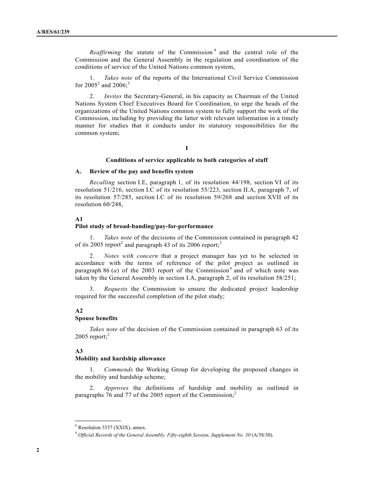*Reaffirming* the statute of the Commission<sup>8</sup> and the central role of the Commission and the General Assembly in the regulation and coordination of the conditions of service of the United Nations common system,

 1. *Takes note* of the reports of the International Civil Service Commission for 2005<sup>2</sup> and 2006;<sup>3</sup>

 2. *Invites* the Secretary-General, in his capacity as Chairman of the United Nations System Chief Executives Board for Coordination, to urge the heads of the organizations of the United Nations common system to fully support the work of the Commission, including by providing the latter with relevant information in a timely manner for studies that it conducts under its statutory responsibilities for the common system;

## **I**

#### **Conditions of service applicable to both categories of staff**

## **A. Review of the pay and benefits system**

*Recalling* section I.E, paragraph 1, of its resolution 44/198, section VI of its resolution 51/216, section I.C of its resolution 55/223, section II.A, paragraph 7, of its resolution 57/285, section I.C of its resolution 59/268 and section XVII of its resolution 60/248,

## **A1**

#### **Pilot study of broad-banding/pay-for-performance**

 1. *Takes note* of the decisions of the Commission contained in paragraph 42 of its 2005 report<sup>2</sup> and paragraph 43 of its 2006 report;<sup>3</sup>

 2. *Notes with concern* that a project manager has yet to be selected in accordance with the terms of reference of the pilot project as outlined in paragraph 86  $(a)$  of the 2003 report of the Commission<sup>9</sup> and of which note was taken by the General Assembly in section I.A, paragraph 2, of its resolution 58/251;

 3. *Requests* the Commission to ensure the dedicated project leadership required for the successful completion of the pilot study;

## **A2**

#### **Spouse benefits**

*Takes note* of the decision of the Commission contained in paragraph 63 of its  $2005$  report;<sup>2</sup>

## **A3**

#### **Mobility and hardship allowance**

 1. *Commends* the Working Group for developing the proposed changes in the mobility and hardship scheme;

 2. *Approves* the definitions of hardship and mobility as outlined in paragraphs 76 and 77 of the 2005 report of the Commission;<sup>2</sup>

**\_\_\_\_\_\_\_\_\_\_\_\_\_\_\_** 

<sup>8</sup> Resolution 3357 (XXIX), annex.

<sup>&</sup>lt;sup>9</sup> Official Records of the General Assembly, Fifty-eighth Session, Supplement No. 30 (A/58/30).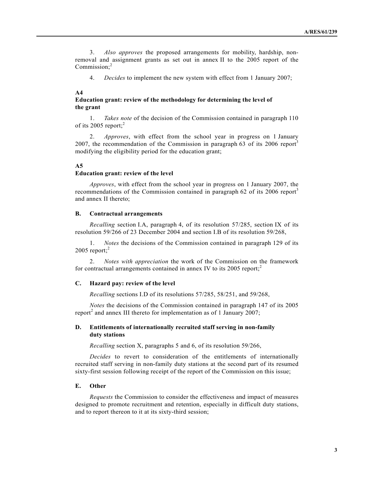3. *Also approves* the proposed arrangements for mobility, hardship, nonremoval and assignment grants as set out in annex II to the 2005 report of the Commission;<sup>2</sup>

4. *Decides* to implement the new system with effect from 1 January 2007;

### **A4**

## **Education grant: review of the methodology for determining the level of the grant**

 1. *Takes note* of the decision of the Commission contained in paragraph 110 of its 2005 report; $2$ 

 2. *Approves*, with effect from the school year in progress on 1 January 2007, the recommendation of the Commission in paragraph 63 of its 2006 report<sup>3</sup> modifying the eligibility period for the education grant;

#### **A5**

#### **Education grant: review of the level**

*Approves*, with effect from the school year in progress on 1 January 2007, the recommendations of the Commission contained in paragraph 62 of its 2006 report<sup>3</sup> and annex II thereto;

#### **B. Contractual arrangements**

*Recalling* section I.A, paragraph 4, of its resolution 57/285, section IX of its resolution 59/266 of 23 December 2004 and section I.B of its resolution 59/268,

 1. *Notes* the decisions of the Commission contained in paragraph 129 of its  $2005$  report;<sup>2</sup>

 2. *Notes with appreciation* the work of the Commission on the framework for contractual arrangements contained in annex IV to its  $2005$  report;<sup>2</sup>

#### **C. Hazard pay: review of the level**

*Recalling* sections I.D of its resolutions 57/285, 58/251, and 59/268,

*Notes* the decisions of the Commission contained in paragraph 147 of its 2005 report<sup>2</sup> and annex III thereto for implementation as of 1 January 2007;

## **D. Entitlements of internationally recruited staff serving in non-family duty stations**

*Recalling* section X, paragraphs 5 and 6, of its resolution 59/266,

*Decides* to revert to consideration of the entitlements of internationally recruited staff serving in non-family duty stations at the second part of its resumed sixty-first session following receipt of the report of the Commission on this issue;

#### **E. Other**

*Requests* the Commission to consider the effectiveness and impact of measures designed to promote recruitment and retention, especially in difficult duty stations, and to report thereon to it at its sixty-third session;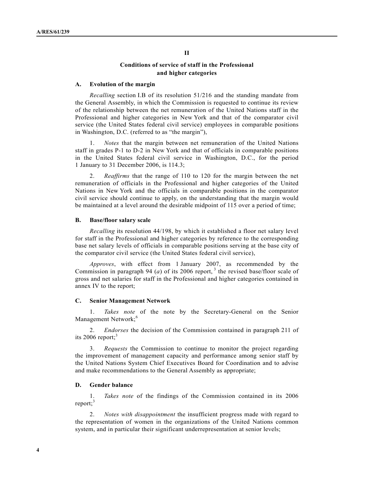## **Conditions of service of staff in the Professional and higher categories**

## **A. Evolution of the margin**

*Recalling* section I.B of its resolution 51/216 and the standing mandate from the General Assembly, in which the Commission is requested to continue its review of the relationship between the net remuneration of the United Nations staff in the Professional and higher categories in New York and that of the comparator civil service (the United States federal civil service) employees in comparable positions in Washington, D.C. (referred to as "the margin"),

 1. *Notes* that the margin between net remuneration of the United Nations staff in grades P-1 to D-2 in New York and that of officials in comparable positions in the United States federal civil service in Washington, D.C., for the period 1 January to 31 December 2006, is 114.3;

 2. *Reaffirms* that the range of 110 to 120 for the margin between the net remuneration of officials in the Professional and higher categories of the United Nations in New York and the officials in comparable positions in the comparator civil service should continue to apply, on the understanding that the margin would be maintained at a level around the desirable midpoint of 115 over a period of time;

#### **B. Base/floor salary scale**

*Recalling* its resolution 44/198, by which it established a floor net salary level for staff in the Professional and higher categories by reference to the corresponding base net salary levels of officials in comparable positions serving at the base city of the comparator civil service (the United States federal civil service),

*Approves*, with effect from 1 January 2007, as recommended by the Commission in paragraph 94 (*a*) of its 2006 report,<sup>3</sup> the revised base/floor scale of gross and net salaries for staff in the Professional and higher categories contained in annex IV to the report;

#### **C. Senior Management Network**

 1. *Takes note* of the note by the Secretary-General on the Senior Management Network;<sup>6</sup>

 2. *Endorses* the decision of the Commission contained in paragraph 211 of its 2006 report; $3$ 

 3. *Requests* the Commission to continue to monitor the project regarding the improvement of management capacity and performance among senior staff by the United Nations System Chief Executives Board for Coordination and to advise and make recommendations to the General Assembly as appropriate;

#### **D. Gender balance**

 1. *Takes note* of the findings of the Commission contained in its 2006 report; $3$ 

 2. *Notes with disappointment* the insufficient progress made with regard to the representation of women in the organizations of the United Nations common system, and in particular their significant underrepresentation at senior levels;

## **II**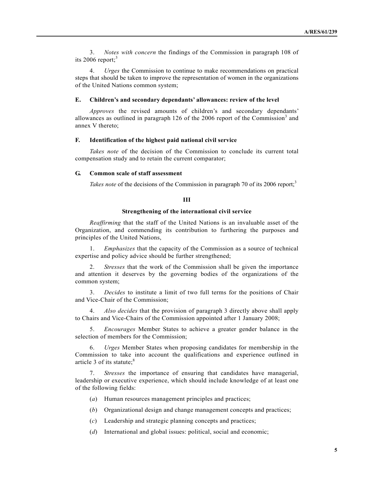3. *Notes with concern* the findings of the Commission in paragraph 108 of its 2006 report; $3$ 

 4. *Urges* the Commission to continue to make recommendations on practical steps that should be taken to improve the representation of women in the organizations of the United Nations common system;

#### **E. Children's and secondary dependants' allowances: review of the level**

*Approves* the revised amounts of children's and secondary dependants' allowances as outlined in paragraph  $126$  of the 2006 report of the Commission<sup>3</sup> and annex V thereto;

#### **F. Identification of the highest paid national civil service**

*Takes note* of the decision of the Commission to conclude its current total compensation study and to retain the current comparator;

### **G. Common scale of staff assessment**

*Takes note* of the decisions of the Commission in paragraph 70 of its 2006 report;<sup>3</sup>

#### **III**

## **Strengthening of the international civil service**

*Reaffirming* that the staff of the United Nations is an invaluable asset of the Organization, and commending its contribution to furthering the purposes and principles of the United Nations,

 1. *Emphasizes* that the capacity of the Commission as a source of technical expertise and policy advice should be further strengthened;

 2. *Stresses* that the work of the Commission shall be given the importance and attention it deserves by the governing bodies of the organizations of the common system;

 3. *Decides* to institute a limit of two full terms for the positions of Chair and Vice-Chair of the Commission;

 4. *Also decides* that the provision of paragraph 3 directly above shall apply to Chairs and Vice-Chairs of the Commission appointed after 1 January 2008;

 5. *Encourages* Member States to achieve a greater gender balance in the selection of members for the Commission;

 6. *Urges* Member States when proposing candidates for membership in the Commission to take into account the qualifications and experience outlined in article 3 of its statute;<sup>8</sup>

 7. *Stresses* the importance of ensuring that candidates have managerial, leadership or executive experience, which should include knowledge of at least one of the following fields:

- (*a*) Human resources management principles and practices;
- (*b*) Organizational design and change management concepts and practices;
- (*c*) Leadership and strategic planning concepts and practices;
- (*d*) International and global issues: political, social and economic;